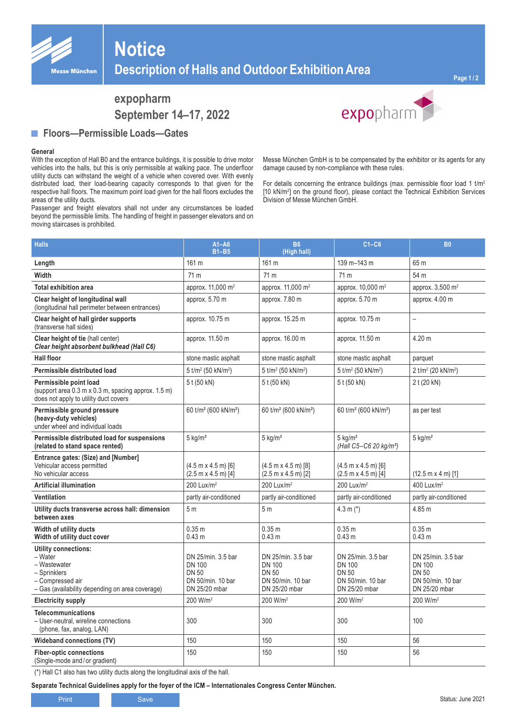

# **Notice Description of Halls and Outdoor Exhibition Area**

## **expopharm September 14–17, 2022**

#### **■ Floors—Permissible Loads—Gates**

#### **General**

With the exception of Hall B0 and the entrance buildings, it is possible to drive motor vehicles into the halls, but this is only permissible at walking pace. The underfloor utility ducts can withstand the weight of a vehicle when covered over. With evenly distributed load, their load-bearing capacity corresponds to that given for the respective hall floors. The maximum point load given for the hall floors excludes the areas of the utility ducts.

Passenger and freight elevators shall not under any circumstances be loaded beyond the permissible limits. The handling of freight in passenger elevators and on moving staircases is prohibited.



Messe München GmbH is to be compensated by the exhibitor or its agents for any damage caused by non-compliance with these rules.

For details concerning the entrance buildings (max. permissible floor load 1  $tm^2$ [10 kN/m2 ] on the ground floor), please contact the Technical Exhibition Services Division of Messe München GmbH.

| <b>Halls</b>                                                                                                                                  | $A1 - A6$<br>$B1 - B5$                                                                    | <b>B6</b><br>(High hall)                                                                  | $C1-C6$                                                                                   | <b>B0</b>                                                                                 |
|-----------------------------------------------------------------------------------------------------------------------------------------------|-------------------------------------------------------------------------------------------|-------------------------------------------------------------------------------------------|-------------------------------------------------------------------------------------------|-------------------------------------------------------------------------------------------|
| Length                                                                                                                                        | 161 m                                                                                     | 161 m                                                                                     | 139 m-143 m                                                                               | 65 m                                                                                      |
| Width                                                                                                                                         | 71 m                                                                                      | 71 m                                                                                      | 71 m                                                                                      | 54 m                                                                                      |
| <b>Total exhibition area</b>                                                                                                                  | approx. 11,000 m <sup>2</sup>                                                             | approx. 11,000 m <sup>2</sup>                                                             | approx. 10,000 m <sup>2</sup>                                                             | approx. 3,500 m <sup>2</sup>                                                              |
| Clear height of longitudinal wall<br>(longitudinal hall perimeter between entrances)                                                          | approx. 5.70 m                                                                            | approx. 7.80 m                                                                            | approx. 5.70 m                                                                            | approx. 4.00 m                                                                            |
| Clear height of hall girder supports<br>(transverse hall sides)                                                                               | approx. 10.75 m                                                                           | approx. 15.25 m                                                                           | approx. 10.75 m                                                                           | $\overline{\phantom{0}}$                                                                  |
| Clear height of tie (hall center)<br>Clear height absorbent bulkhead (Hall C6)                                                                | approx. 11.50 m                                                                           | approx. 16.00 m                                                                           | approx. 11.50 m                                                                           | 4.20 m                                                                                    |
| <b>Hall floor</b>                                                                                                                             | stone mastic asphalt                                                                      | stone mastic asphalt                                                                      | stone mastic asphalt                                                                      | parquet                                                                                   |
| Permissible distributed load                                                                                                                  | 5 t/m <sup>2</sup> (50 kN/m <sup>2</sup> )                                                | 5 t/m <sup>2</sup> (50 kN/m <sup>2</sup> )                                                | 5 t/m <sup>2</sup> (50 kN/m <sup>2</sup> )                                                | 2 t/m <sup>2</sup> (20 kN/m <sup>2</sup> )                                                |
| Permissible point load<br>(support area $0.3$ m x 0.3 m, spacing approx. 1.5 m)<br>does not apply to utility duct covers                      | 5 t (50 kN)                                                                               | 5 t (50 kN)                                                                               | 5 t (50 kN)                                                                               | 2 t (20 kN)                                                                               |
| Permissible ground pressure<br>(heavy-duty vehicles)<br>under wheel and individual loads                                                      | 60 t/m <sup>2</sup> (600 kN/m <sup>2</sup> )                                              | 60 t/m <sup>2</sup> (600 kN/m <sup>2</sup> )                                              | 60 t/m <sup>2</sup> (600 kN/m <sup>2</sup> )                                              | as per test                                                                               |
| Permissible distributed load for suspensions<br>(related to stand space rented)                                                               | $5$ kg/m <sup>2</sup>                                                                     | $5$ kg/m <sup>2</sup>                                                                     | $5 \text{ ka/m}^2$<br>(Hall C5-C6 20 kg/m <sup>2</sup> )                                  | $5$ kg/m <sup>2</sup>                                                                     |
| Entrance gates: (Size) and [Number]<br>Vehicular access permitted<br>No vehicular access                                                      | $(4.5 m \times 4.5 m)$ [6]<br>$(2.5 m x 4.5 m)$ [4]                                       | $(4.5 m \times 4.5 m)$ [8]<br>$(2.5 m x 4.5 m)$ [2]                                       | $(4.5 m \times 4.5 m)$ [6]<br>$(2.5 m x 4.5 m)$ [4]                                       | $(12.5 \text{ m} \times 4 \text{ m})$ [1]                                                 |
| <b>Artificial illumination</b>                                                                                                                | 200 Lux/ $m^2$                                                                            | 200 Lux/ $m^2$                                                                            | 200 Lux/ $m^2$                                                                            | 400 Lux/m <sup>2</sup>                                                                    |
| Ventilation                                                                                                                                   | partly air-conditioned                                                                    | partly air-conditioned                                                                    | partly air-conditioned                                                                    | partly air-conditioned                                                                    |
| Utility ducts transverse across hall: dimension<br>between axes                                                                               | 5 <sub>m</sub>                                                                            | 5 <sub>m</sub>                                                                            | 4.3 m $(*)$                                                                               | 4.85 m                                                                                    |
| Width of utility ducts<br>Width of utility duct cover                                                                                         | 0.35 m<br>0.43 <sub>m</sub>                                                               | 0.35 <sub>m</sub><br>0.43 <sub>m</sub>                                                    | 0.35 m<br>0.43 <sub>m</sub>                                                               | 0.35 m<br>0.43 <sub>m</sub>                                                               |
| <b>Utility connections:</b><br>- Water<br>- Wastewater<br>- Sprinklers<br>- Compressed air<br>- Gas (availability depending on area coverage) | DN 25/min. 3.5 bar<br><b>DN 100</b><br><b>DN 50</b><br>DN 50/min. 10 bar<br>DN 25/20 mbar | DN 25/min. 3.5 bar<br><b>DN 100</b><br><b>DN 50</b><br>DN 50/min. 10 bar<br>DN 25/20 mbar | DN 25/min. 3.5 bar<br><b>DN 100</b><br><b>DN 50</b><br>DN 50/min. 10 bar<br>DN 25/20 mbar | DN 25/min. 3.5 bar<br><b>DN 100</b><br><b>DN 50</b><br>DN 50/min. 10 bar<br>DN 25/20 mbar |
| <b>Electricity supply</b>                                                                                                                     | 200 W/m <sup>2</sup>                                                                      | 200 W/m <sup>2</sup>                                                                      | 200 W/m <sup>2</sup>                                                                      | 200 W/m <sup>2</sup>                                                                      |
| <b>Telecommunications</b><br>- User-neutral, wireline connections<br>(phone, fax, analog, LAN)                                                | 300                                                                                       | 300                                                                                       | 300                                                                                       | 100                                                                                       |
| Wideband connections (TV)                                                                                                                     | 150                                                                                       | 150                                                                                       | 150                                                                                       | 56                                                                                        |
| <b>Fiber-optic connections</b><br>(Single-mode and/or gradient)                                                                               | 150                                                                                       | 150                                                                                       | 150                                                                                       | 56                                                                                        |

(\*) Hall C1 also has two utility ducts along the longitudinal axis of the hall.

**Separate Technical Guidelines apply for the foyer of the ICM – Internationales Congress Center München.**

Print Save